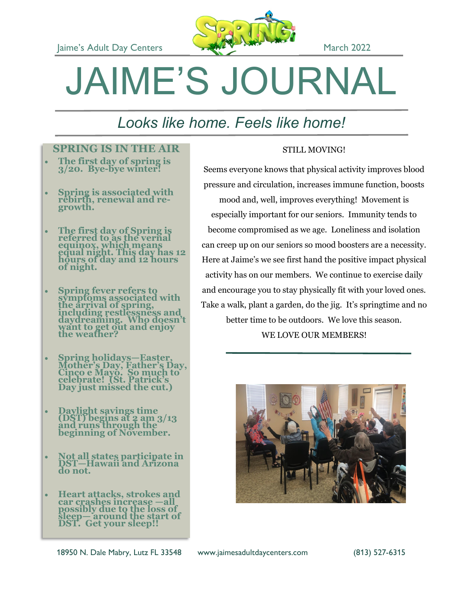

# JAIME'S JOURNAL

## *Looks like home. Feels like home!*

#### **SPRING IS IN THE AIR**

- **The first day of spring is 3/20. Bye-bye winter!**
- **Spring is associated with rebirth, renewal and regrowth.**
- **The first day of Spring is referred to as the vernal equinox, which means equal night. This day has 12 hours of day and 12 hours of night.**
- **Spring fever refers to symptoms associated with the arrival of spring, including restlessness and daydreaming. Who doesn't want to get out and enjoy the weather?**
- **Spring holidays—Easter, Mother's Day, Father's Day, Cinco e Mayo. So much to celebrate! (St. Patrick's Day just missed the cut.)**
- **Daylight savings time (DST) begins at 2 am 3/13 and runs through the beginning of November.**
- **Not all states participate in DST—Hawaii and Arizona do not.**
- **Heart attacks, strokes and car crashes increase —all possibly due to the loss of sleep— around the start of DST. Get your sleep!!**

#### STILL MOVING!

Seems everyone knows that physical activity improves blood pressure and circulation, increases immune function, boosts

mood and, well, improves everything! Movement is especially important for our seniors. Immunity tends to become compromised as we age. Loneliness and isolation can creep up on our seniors so mood boosters are a necessity. Here at Jaime's we see first hand the positive impact physical activity has on our members. We continue to exercise daily and encourage you to stay physically fit with your loved ones. Take a walk, plant a garden, do the jig. It's springtime and no better time to be outdoors. We love this season. WE LOVE OUR MEMBERS!



18950 N. Dale Mabry, Lutz FL 33548 www.jaimesadultdaycenters.com (813) 527-6315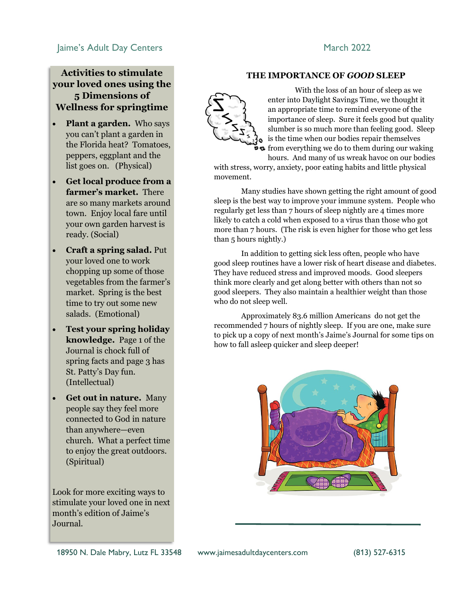#### aime's Adult Day Centers and the March 2022

#### **Activities to stimulate your loved ones using the 5 Dimensions of Wellness for springtime**

- **Plant a garden.** Who says you can't plant a garden in the Florida heat? Tomatoes, peppers, eggplant and the list goes on. (Physical)
- **Get local produce from a farmer's market.** There are so many markets around town. Enjoy local fare until your own garden harvest is ready. (Social)
- **Craft a spring salad.** Put your loved one to work chopping up some of those vegetables from the farmer's market. Spring is the best time to try out some new salads. (Emotional)
- **Test your spring holiday knowledge.** Page 1 of the Journal is chock full of spring facts and page 3 has St. Patty's Day fun. (Intellectual)
- **Get out in nature.** Many people say they feel more connected to God in nature than anywhere—even church. What a perfect time to enjoy the great outdoors. (Spiritual)

Look for more exciting ways to stimulate your loved one in next month's edition of Jaime's Journal.

#### **THE IMPORTANCE OF** *GOOD* **SLEEP**



With the loss of an hour of sleep as we enter into Daylight Savings Time, we thought it an appropriate time to remind everyone of the importance of sleep. Sure it feels good but quality slumber is so much more than feeling good. Sleep is the time when our bodies repair themselves  $\bullet$  from everything we do to them during our waking

hours. And many of us wreak havoc on our bodies

with stress, worry, anxiety, poor eating habits and little physical movement.

Many studies have shown getting the right amount of good sleep is the best way to improve your immune system. People who regularly get less than 7 hours of sleep nightly are 4 times more likely to catch a cold when exposed to a virus than those who got more than 7 hours. (The risk is even higher for those who get less than 5 hours nightly.)

In addition to getting sick less often, people who have good sleep routines have a lower risk of heart disease and diabetes. They have reduced stress and improved moods. Good sleepers think more clearly and get along better with others than not so good sleepers. They also maintain a healthier weight than those who do not sleep well.

Approximately 83.6 million Americans do not get the recommended 7 hours of nightly sleep. If you are one, make sure to pick up a copy of next month's Jaime's Journal for some tips on how to fall asleep quicker and sleep deeper!

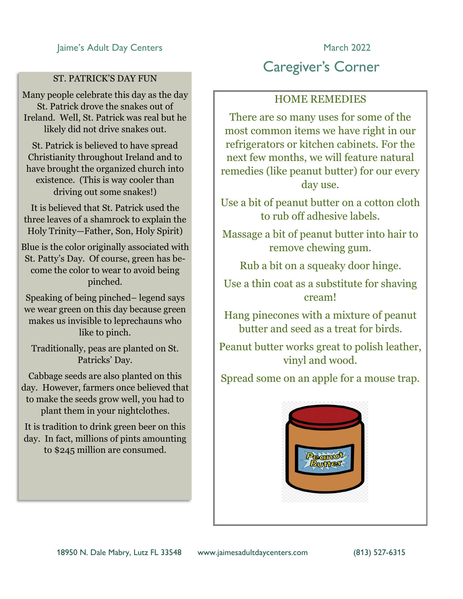#### ST. PATRICK'S DAY FUN

Many people celebrate this day as the day St. Patrick drove the snakes out of Ireland. Well, St. Patrick was real but he likely did not drive snakes out.

St. Patrick is believed to have spread Christianity throughout Ireland and to have brought the organized church into existence. (This is way cooler than driving out some snakes!)

It is believed that St. Patrick used the three leaves of a shamrock to explain the Holy Trinity—Father, Son, Holy Spirit)

Blue is the color originally associated with St. Patty's Day. Of course, green has become the color to wear to avoid being pinched.

Speaking of being pinched– legend says we wear green on this day because green makes us invisible to leprechauns who like to pinch.

Traditionally, peas are planted on St. Patricks' Day.

Cabbage seeds are also planted on this day. However, farmers once believed that to make the seeds grow well, you had to plant them in your nightclothes.

It is tradition to drink green beer on this day. In fact, millions of pints amounting to \$245 million are consumed.

### Caregiver's Corner

#### HOME REMEDIES

There are so many uses for some of the most common items we have right in our refrigerators or kitchen cabinets. For the next few months, we will feature natural remedies (like peanut butter) for our every day use.

Use a bit of peanut butter on a cotton cloth to rub off adhesive labels.

Massage a bit of peanut butter into hair to remove chewing gum.

Rub a bit on a squeaky door hinge.

Use a thin coat as a substitute for shaving cream!

Hang pinecones with a mixture of peanut butter and seed as a treat for birds.

Peanut butter works great to polish leather, vinyl and wood.

Spread some on an apple for a mouse trap.